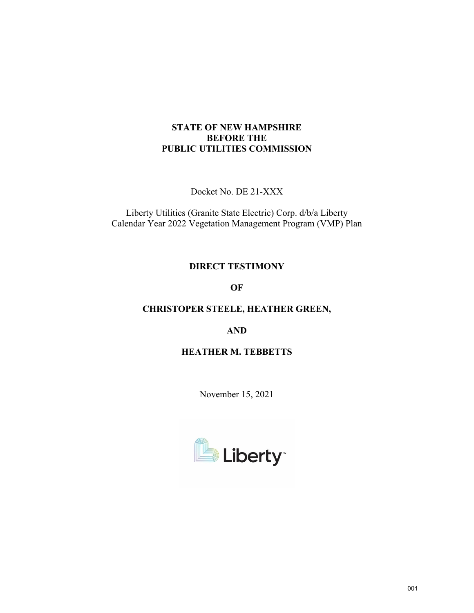## **STATE OF NEW HAMPSHIRE BEFORE THE PUBLIC UTILITIES COMMISSION**

Docket No. DE 21-XXX

Liberty Utilities (Granite State Electric) Corp. d/b/a Liberty Calendar Year 2022 Vegetation Management Program (VMP) Plan

## **DIRECT TESTIMONY**

**OF** 

# **CHRISTOPER STEELE, HEATHER GREEN,**

# **AND**

# **HEATHER M. TEBBETTS**

November 15, 2021

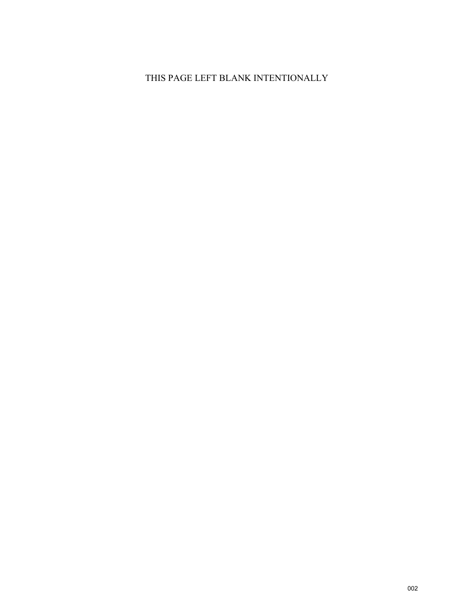# THIS PAGE LEFT BLANK INTENTIONALLY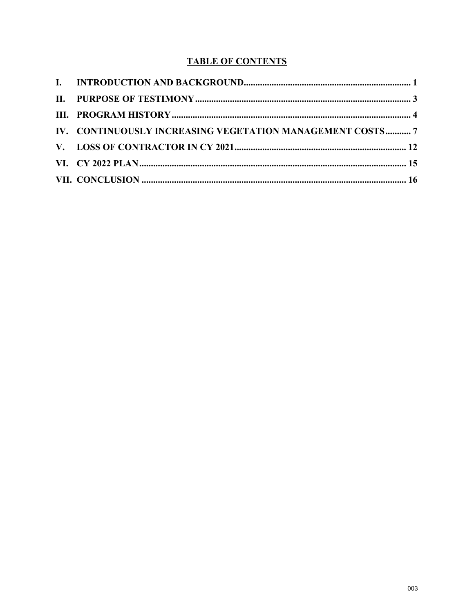# **TABLE OF CONTENTS**

| IV. CONTINUOUSLY INCREASING VEGETATION MANAGEMENT COSTS7 |  |
|----------------------------------------------------------|--|
|                                                          |  |
|                                                          |  |
|                                                          |  |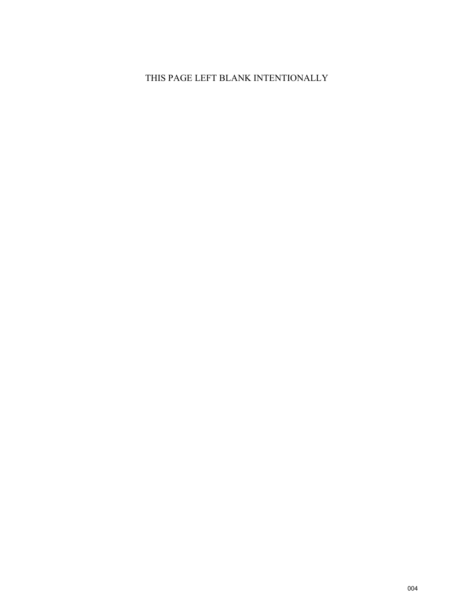# THIS PAGE LEFT BLANK INTENTIONALLY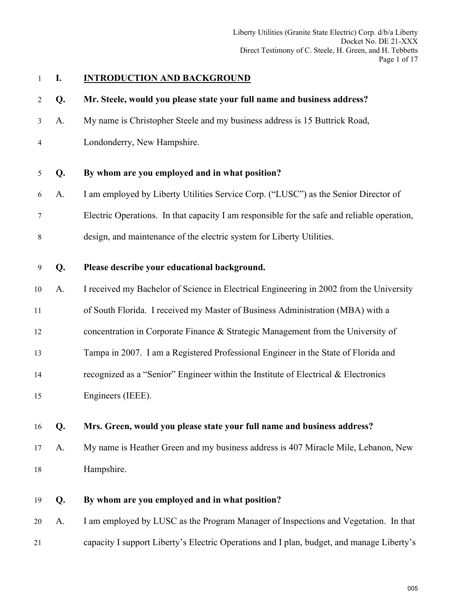| I |         |
|---|---------|
|   | ۰.<br>× |

# 1 **I. INTRODUCTION AND BACKGROUND**

|  | Mr. Steele, would you please state your full name and business address? |
|--|-------------------------------------------------------------------------|
|--|-------------------------------------------------------------------------|

- 3 A. My name is Christopher Steele and my business address is 15 Buttrick Road,
- 4 Londonderry, New Hampshire.

#### 5 **Q. By whom are you employed and in what position?**

6 A. I am employed by Liberty Utilities Service Corp. ("LUSC") as the Senior Director of

7 Electric Operations. In that capacity I am responsible for the safe and reliable operation,

- 8 design, and maintenance of the electric system for Liberty Utilities.
- 9 **Q. Please describe your educational background.**
- 10 A. I received my Bachelor of Science in Electrical Engineering in 2002 from the University

11 of South Florida. I received my Master of Business Administration (MBA) with a

12 concentration in Corporate Finance & Strategic Management from the University of

- 13 Tampa in 2007. I am a Registered Professional Engineer in the State of Florida and
- 14 recognized as a "Senior" Engineer within the Institute of Electrical & Electronics
- 15 Engineers (IEEE).

## 16 **Q. Mrs. Green, would you please state your full name and business address?**

17 A. My name is Heather Green and my business address is 407 Miracle Mile, Lebanon, New 18 Hampshire.

## 19 **Q. By whom are you employed and in what position?**

20 A. I am employed by LUSC as the Program Manager of Inspections and Vegetation. In that 21 capacity I support Liberty's Electric Operations and I plan, budget, and manage Liberty's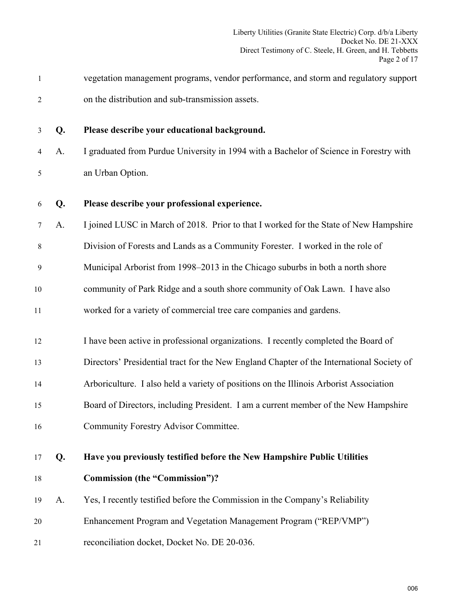Liberty Utilities (Granite State Electric) Corp. d/b/a Liberty Docket No. DE 21-XXX Direct Testimony of C. Steele, H. Green, and H. Tebbetts Page 2 of 17

| $\mathbf{1}$   |    | vegetation management programs, vendor performance, and storm and regulatory support      |
|----------------|----|-------------------------------------------------------------------------------------------|
| $\overline{2}$ |    | on the distribution and sub-transmission assets.                                          |
| 3              | Q. | Please describe your educational background.                                              |
| 4              | A. | I graduated from Purdue University in 1994 with a Bachelor of Science in Forestry with    |
| 5              |    | an Urban Option.                                                                          |
| 6              | Q. | Please describe your professional experience.                                             |
| 7              | A. | I joined LUSC in March of 2018. Prior to that I worked for the State of New Hampshire     |
| $\,8\,$        |    | Division of Forests and Lands as a Community Forester. I worked in the role of            |
| 9              |    | Municipal Arborist from 1998–2013 in the Chicago suburbs in both a north shore            |
| 10             |    | community of Park Ridge and a south shore community of Oak Lawn. I have also              |
| 11             |    | worked for a variety of commercial tree care companies and gardens.                       |
| 12             |    | I have been active in professional organizations. I recently completed the Board of       |
| 13             |    | Directors' Presidential tract for the New England Chapter of the International Society of |
| 14             |    | Arboriculture. I also held a variety of positions on the Illinois Arborist Association    |
| 15             |    | Board of Directors, including President. I am a current member of the New Hampshire       |
| 16             |    | Community Forestry Advisor Committee.                                                     |
| 17             | Q. | Have you previously testified before the New Hampshire Public Utilities                   |
| 18             |    | <b>Commission (the "Commission")?</b>                                                     |
| 19             | A. | Yes, I recently testified before the Commission in the Company's Reliability              |
| 20             |    | Enhancement Program and Vegetation Management Program ("REP/VMP")                         |
| 21             |    | reconciliation docket, Docket No. DE 20-036.                                              |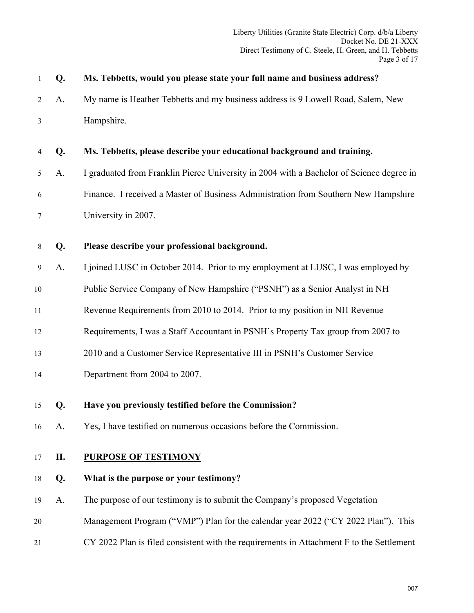| $\mathbf{1}$   | Q. | Ms. Tebbetts, would you please state your full name and business address?                |
|----------------|----|------------------------------------------------------------------------------------------|
| $\overline{2}$ | A. | My name is Heather Tebbetts and my business address is 9 Lowell Road, Salem, New         |
| $\mathfrak{Z}$ |    | Hampshire.                                                                               |
| $\overline{4}$ | Q. | Ms. Tebbetts, please describe your educational background and training.                  |
| 5              | A. | I graduated from Franklin Pierce University in 2004 with a Bachelor of Science degree in |
| 6              |    | Finance. I received a Master of Business Administration from Southern New Hampshire      |
| 7              |    | University in 2007.                                                                      |
| 8              | Q. | Please describe your professional background.                                            |
| 9              | A. | I joined LUSC in October 2014. Prior to my employment at LUSC, I was employed by         |
| 10             |    | Public Service Company of New Hampshire ("PSNH") as a Senior Analyst in NH               |
| 11             |    | Revenue Requirements from 2010 to 2014. Prior to my position in NH Revenue               |
| 12             |    | Requirements, I was a Staff Accountant in PSNH's Property Tax group from 2007 to         |
| 13             |    | 2010 and a Customer Service Representative III in PSNH's Customer Service                |
| 14             |    | Department from 2004 to 2007.                                                            |
| 15             | Q. | Have you previously testified before the Commission?                                     |
| 16             | A. | Yes, I have testified on numerous occasions before the Commission.                       |
| $17\,$         | П. | <b>PURPOSE OF TESTIMONY</b>                                                              |
| 18             | Q. | What is the purpose or your testimony?                                                   |
| 19             | A. | The purpose of our testimony is to submit the Company's proposed Vegetation              |
| 20             |    | Management Program ("VMP") Plan for the calendar year 2022 ("CY 2022 Plan"). This        |
| 21             |    | CY 2022 Plan is filed consistent with the requirements in Attachment F to the Settlement |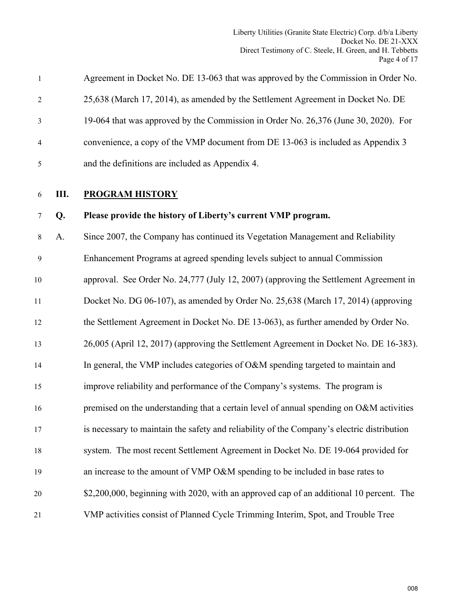| $\mathbf{1}$   |    | Agreement in Docket No. DE 13-063 that was approved by the Commission in Order No.         |
|----------------|----|--------------------------------------------------------------------------------------------|
| $\overline{2}$ |    | 25,638 (March 17, 2014), as amended by the Settlement Agreement in Docket No. DE           |
| 3              |    | 19-064 that was approved by the Commission in Order No. 26,376 (June 30, 2020). For        |
| $\overline{4}$ |    | convenience, a copy of the VMP document from DE 13-063 is included as Appendix 3           |
| 5              |    | and the definitions are included as Appendix 4.                                            |
| 6              | Ш. | <b>PROGRAM HISTORY</b>                                                                     |
| 7              | Q. | Please provide the history of Liberty's current VMP program.                               |
| 8              | A. | Since 2007, the Company has continued its Vegetation Management and Reliability            |
| $\overline{9}$ |    | Enhancement Programs at agreed spending levels subject to annual Commission                |
| 10             |    | approval. See Order No. 24,777 (July 12, 2007) (approving the Settlement Agreement in      |
| $1\,1$         |    | Docket No. DG 06-107), as amended by Order No. 25,638 (March 17, 2014) (approving          |
| 12             |    | the Settlement Agreement in Docket No. DE 13-063), as further amended by Order No.         |
| 13             |    | 26,005 (April 12, 2017) (approving the Settlement Agreement in Docket No. DE 16-383).      |
| 14             |    | In general, the VMP includes categories of O&M spending targeted to maintain and           |
| 15             |    | improve reliability and performance of the Company's systems. The program is               |
| 16             |    | premised on the understanding that a certain level of annual spending on O&M activities    |
| 17             |    | is necessary to maintain the safety and reliability of the Company's electric distribution |
| 18             |    | system. The most recent Settlement Agreement in Docket No. DE 19-064 provided for          |
| 19             |    | an increase to the amount of VMP O&M spending to be included in base rates to              |
| 20             |    | \$2,200,000, beginning with 2020, with an approved cap of an additional 10 percent. The    |
| 21             |    | VMP activities consist of Planned Cycle Trimming Interim, Spot, and Trouble Tree           |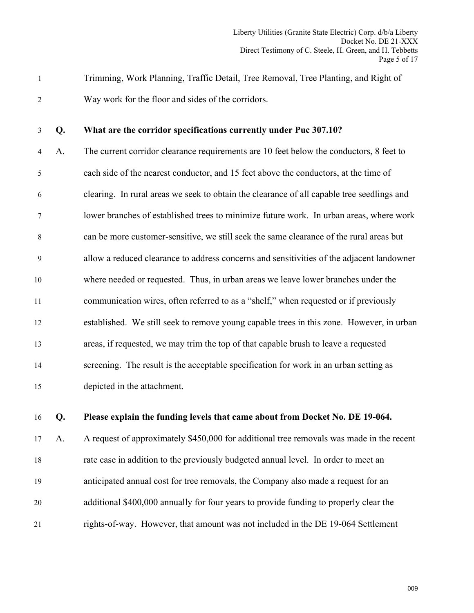Liberty Utilities (Granite State Electric) Corp. d/b/a Liberty Docket No. DE 21-XXX Direct Testimony of C. Steele, H. Green, and H. Tebbetts Page 5 of 17

1 Trimming, Work Planning, Traffic Detail, Tree Removal, Tree Planting, and Right of 2 Way work for the floor and sides of the corridors.

#### 3 **Q. What are the corridor specifications currently under Puc 307.10?**

4 A. The current corridor clearance requirements are 10 feet below the conductors, 8 feet to 5 each side of the nearest conductor, and 15 feet above the conductors, at the time of 6 clearing. In rural areas we seek to obtain the clearance of all capable tree seedlings and 7 lower branches of established trees to minimize future work. In urban areas, where work 8 can be more customer-sensitive, we still seek the same clearance of the rural areas but 9 allow a reduced clearance to address concerns and sensitivities of the adjacent landowner 10 where needed or requested. Thus, in urban areas we leave lower branches under the 11 communication wires, often referred to as a "shelf," when requested or if previously 12 established. We still seek to remove young capable trees in this zone. However, in urban 13 areas, if requested, we may trim the top of that capable brush to leave a requested 14 screening. The result is the acceptable specification for work in an urban setting as 15 depicted in the attachment.

#### 16 **Q. Please explain the funding levels that came about from Docket No. DE 19-064.**

17 A. A request of approximately \$450,000 for additional tree removals was made in the recent 18 rate case in addition to the previously budgeted annual level. In order to meet an 19 anticipated annual cost for tree removals, the Company also made a request for an 20 additional \$400,000 annually for four years to provide funding to properly clear the 21 rights-of-way. However, that amount was not included in the DE 19-064 Settlement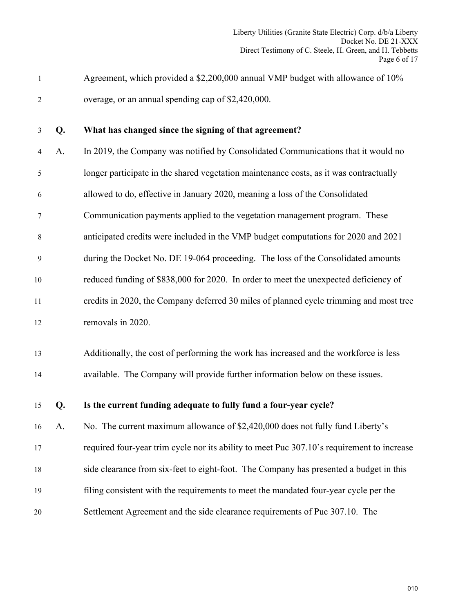Liberty Utilities (Granite State Electric) Corp. d/b/a Liberty Docket No. DE 21-XXX Direct Testimony of C. Steele, H. Green, and H. Tebbetts Page 6 of 17

1 Agreement, which provided a \$2,200,000 annual VMP budget with allowance of 10% 2 overage, or an annual spending cap of \$2,420,000.

3 **Q. What has changed since the signing of that agreement?** 

- 4 A. In 2019, the Company was notified by Consolidated Communications that it would no 5 longer participate in the shared vegetation maintenance costs, as it was contractually 6 allowed to do, effective in January 2020, meaning a loss of the Consolidated 7 Communication payments applied to the vegetation management program. These 8 anticipated credits were included in the VMP budget computations for 2020 and 2021 9 during the Docket No. DE 19-064 proceeding. The loss of the Consolidated amounts 10 reduced funding of \$838,000 for 2020. In order to meet the unexpected deficiency of 11 credits in 2020, the Company deferred 30 miles of planned cycle trimming and most tree 12 removals in 2020.
- 13 Additionally, the cost of performing the work has increased and the workforce is less 14 available. The Company will provide further information below on these issues.
- 15 **Q. Is the current funding adequate to fully fund a four-year cycle?**

16 A. No. The current maximum allowance of \$2,420,000 does not fully fund Liberty's 17 required four-year trim cycle nor its ability to meet Puc 307.10's requirement to increase 18 side clearance from six-feet to eight-foot. The Company has presented a budget in this 19 filing consistent with the requirements to meet the mandated four-year cycle per the 20 Settlement Agreement and the side clearance requirements of Puc 307.10. The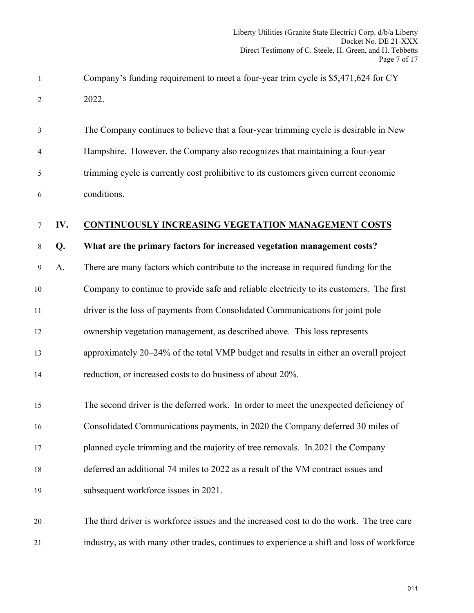1 Company's funding requirement to meet a four-year trim cycle is \$5,471,624 for CY 2 2022.

3 The Company continues to believe that a four-year trimming cycle is desirable in New 4 Hampshire. However, the Company also recognizes that maintaining a four-year 5 trimming cycle is currently cost prohibitive to its customers given current economic 6 conditions.

#### 7 **IV. CONTINUOUSLY INCREASING VEGETATION MANAGEMENT COSTS**

#### 8 **Q. What are the primary factors for increased vegetation management costs?**

9 A. There are many factors which contribute to the increase in required funding for the 10 Company to continue to provide safe and reliable electricity to its customers. The first

11 driver is the loss of payments from Consolidated Communications for joint pole

12 ownership vegetation management, as described above. This loss represents

13 approximately 20–24% of the total VMP budget and results in either an overall project

14 reduction, or increased costs to do business of about 20%.

15 The second driver is the deferred work. In order to meet the unexpected deficiency of

16 Consolidated Communications payments, in 2020 the Company deferred 30 miles of

17 planned cycle trimming and the majority of tree removals. In 2021 the Company

- 18 deferred an additional 74 miles to 2022 as a result of the VM contract issues and
- 19 subsequent workforce issues in 2021.

# 20 The third driver is workforce issues and the increased cost to do the work. The tree care 21 industry, as with many other trades, continues to experience a shift and loss of workforce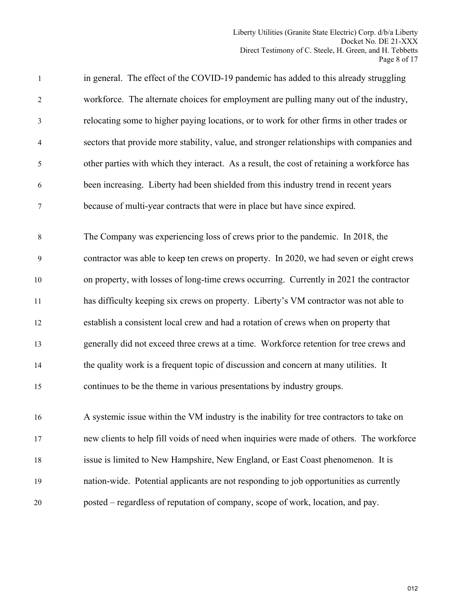Liberty Utilities (Granite State Electric) Corp. d/b/a Liberty Docket No. DE 21-XXX Direct Testimony of C. Steele, H. Green, and H. Tebbetts Page 8 of 17

1 in general. The effect of the COVID-19 pandemic has added to this already struggling 2 workforce. The alternate choices for employment are pulling many out of the industry, 3 relocating some to higher paying locations, or to work for other firms in other trades or 4 sectors that provide more stability, value, and stronger relationships with companies and 5 other parties with which they interact. As a result, the cost of retaining a workforce has 6 been increasing. Liberty had been shielded from this industry trend in recent years 7 because of multi-year contracts that were in place but have since expired.

8 The Company was experiencing loss of crews prior to the pandemic. In 2018, the 9 contractor was able to keep ten crews on property. In 2020, we had seven or eight crews 10 on property, with losses of long-time crews occurring. Currently in 2021 the contractor 11 has difficulty keeping six crews on property. Liberty's VM contractor was not able to 12 establish a consistent local crew and had a rotation of crews when on property that 13 generally did not exceed three crews at a time. Workforce retention for tree crews and 14 the quality work is a frequent topic of discussion and concern at many utilities. It 15 continues to be the theme in various presentations by industry groups.

16 A systemic issue within the VM industry is the inability for tree contractors to take on 17 new clients to help fill voids of need when inquiries were made of others. The workforce 18 issue is limited to New Hampshire, New England, or East Coast phenomenon. It is 19 nation-wide. Potential applicants are not responding to job opportunities as currently 20 posted – regardless of reputation of company, scope of work, location, and pay.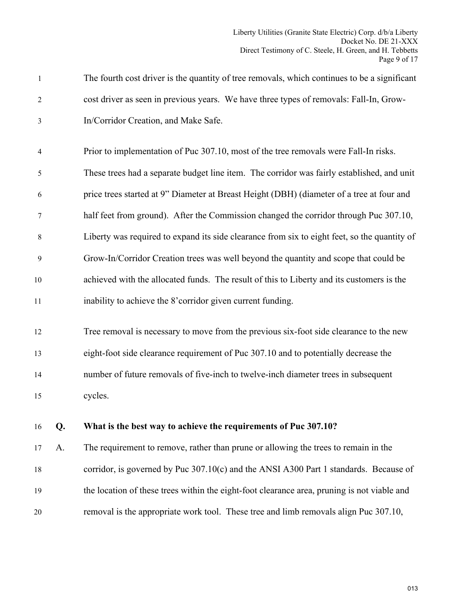- 1 The fourth cost driver is the quantity of tree removals, which continues to be a significant 2 cost driver as seen in previous years. We have three types of removals: Fall-In, Grow-3 In/Corridor Creation, and Make Safe.
- 4 Prior to implementation of Puc 307.10, most of the tree removals were Fall-In risks.
- 5 These trees had a separate budget line item. The corridor was fairly established, and unit
- 6 price trees started at 9" Diameter at Breast Height (DBH) (diameter of a tree at four and
- 7 half feet from ground). After the Commission changed the corridor through Puc 307.10,
- 8 Liberty was required to expand its side clearance from six to eight feet, so the quantity of
- 9 Grow-In/Corridor Creation trees was well beyond the quantity and scope that could be 10 achieved with the allocated funds. The result of this to Liberty and its customers is the
- 11 inability to achieve the 8'corridor given current funding.
- 12 Tree removal is necessary to move from the previous six-foot side clearance to the new 13 eight-foot side clearance requirement of Puc 307.10 and to potentially decrease the 14 number of future removals of five-inch to twelve-inch diameter trees in subsequent 15 cycles.
- 16 **Q. What is the best way to achieve the requirements of Puc 307.10?**

17 A. The requirement to remove, rather than prune or allowing the trees to remain in the 18 corridor, is governed by Puc 307.10(c) and the ANSI A300 Part 1 standards. Because of 19 the location of these trees within the eight-foot clearance area, pruning is not viable and 20 removal is the appropriate work tool. These tree and limb removals align Puc 307.10,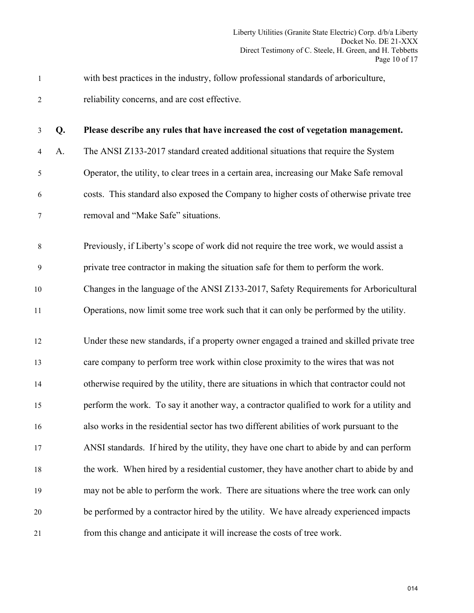Liberty Utilities (Granite State Electric) Corp. d/b/a Liberty Docket No. DE 21-XXX Direct Testimony of C. Steele, H. Green, and H. Tebbetts Page 10 of 17

1 with best practices in the industry, follow professional standards of arboriculture, 2 reliability concerns, and are cost effective.

3 **Q. Please describe any rules that have increased the cost of vegetation management.** 

4 A. The ANSI Z133-2017 standard created additional situations that require the System 5 Operator, the utility, to clear trees in a certain area, increasing our Make Safe removal 6 costs. This standard also exposed the Company to higher costs of otherwise private tree 7 removal and "Make Safe" situations.

8 Previously, if Liberty's scope of work did not require the tree work, we would assist a

9 private tree contractor in making the situation safe for them to perform the work.

10 Changes in the language of the ANSI Z133-2017, Safety Requirements for Arboricultural 11 Operations, now limit some tree work such that it can only be performed by the utility.

12 Under these new standards, if a property owner engaged a trained and skilled private tree 13 care company to perform tree work within close proximity to the wires that was not 14 otherwise required by the utility, there are situations in which that contractor could not 15 perform the work. To say it another way, a contractor qualified to work for a utility and 16 also works in the residential sector has two different abilities of work pursuant to the 17 ANSI standards. If hired by the utility, they have one chart to abide by and can perform 18 the work. When hired by a residential customer, they have another chart to abide by and 19 may not be able to perform the work. There are situations where the tree work can only 20 be performed by a contractor hired by the utility. We have already experienced impacts 21 from this change and anticipate it will increase the costs of tree work.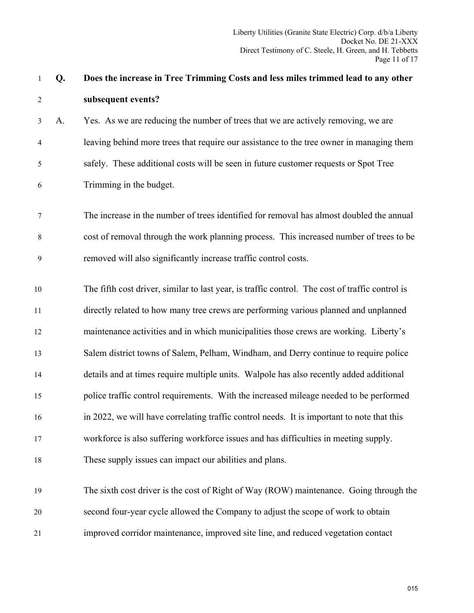| $\mathbf{1}$   | Q. | Does the increase in Tree Trimming Costs and less miles trimmed lead to any other               |
|----------------|----|-------------------------------------------------------------------------------------------------|
| $\overline{2}$ |    | subsequent events?                                                                              |
| 3              | A. | Yes. As we are reducing the number of trees that we are actively removing, we are               |
| $\overline{4}$ |    | leaving behind more trees that require our assistance to the tree owner in managing them        |
| 5              |    | safely. These additional costs will be seen in future customer requests or Spot Tree            |
| 6              |    | Trimming in the budget.                                                                         |
| 7              |    | The increase in the number of trees identified for removal has almost doubled the annual        |
| 8              |    | cost of removal through the work planning process. This increased number of trees to be         |
| 9              |    | removed will also significantly increase traffic control costs.                                 |
| 10             |    | The fifth cost driver, similar to last year, is traffic control. The cost of traffic control is |
| 11             |    | directly related to how many tree crews are performing various planned and unplanned            |
| 12             |    | maintenance activities and in which municipalities those crews are working. Liberty's           |
| 13             |    | Salem district towns of Salem, Pelham, Windham, and Derry continue to require police            |
| 14             |    | details and at times require multiple units. Walpole has also recently added additional         |
| 15             |    | police traffic control requirements. With the increased mileage needed to be performed          |
| 16             |    | in 2022, we will have correlating traffic control needs. It is important to note that this      |
| 17             |    | workforce is also suffering workforce issues and has difficulties in meeting supply.            |
| 18             |    | These supply issues can impact our abilities and plans.                                         |
| 19             |    | The sixth cost driver is the cost of Right of Way (ROW) maintenance. Going through the          |
| 20             |    | second four-year cycle allowed the Company to adjust the scope of work to obtain                |
| 21             |    | improved corridor maintenance, improved site line, and reduced vegetation contact               |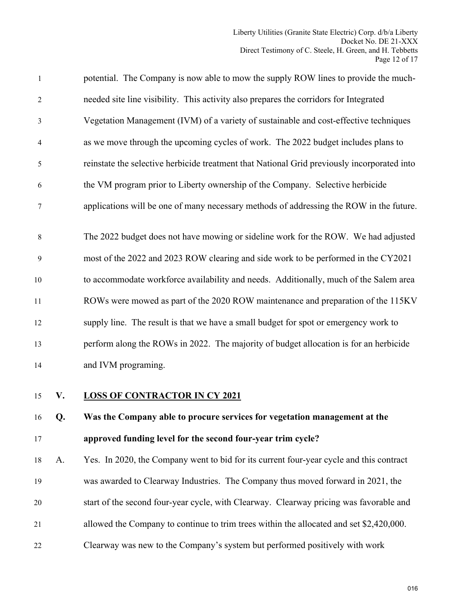Liberty Utilities (Granite State Electric) Corp. d/b/a Liberty Docket No. DE 21-XXX Direct Testimony of C. Steele, H. Green, and H. Tebbetts Page 12 of 17

| $\mathbf{1}$ |    | potential. The Company is now able to mow the supply ROW lines to provide the much-         |
|--------------|----|---------------------------------------------------------------------------------------------|
| 2            |    | needed site line visibility. This activity also prepares the corridors for Integrated       |
| 3            |    | Vegetation Management (IVM) of a variety of sustainable and cost-effective techniques       |
| 4            |    | as we move through the upcoming cycles of work. The 2022 budget includes plans to           |
| 5            |    | reinstate the selective herbicide treatment that National Grid previously incorporated into |
| 6            |    | the VM program prior to Liberty ownership of the Company. Selective herbicide               |
| 7            |    | applications will be one of many necessary methods of addressing the ROW in the future.     |
| 8            |    | The 2022 budget does not have mowing or sideline work for the ROW. We had adjusted          |
| 9            |    | most of the 2022 and 2023 ROW clearing and side work to be performed in the CY2021          |
| 10           |    | to accommodate workforce availability and needs. Additionally, much of the Salem area       |
| 11           |    | ROWs were mowed as part of the 2020 ROW maintenance and preparation of the 115KV            |
| 12           |    | supply line. The result is that we have a small budget for spot or emergency work to        |
| 13           |    | perform along the ROWs in 2022. The majority of budget allocation is for an herbicide       |
| 14           |    | and IVM programing.                                                                         |
| 15           | V. | <b>LOSS OF CONTRACTOR IN CY 2021</b>                                                        |
| 16           | Q. | Was the Company able to procure services for vegetation management at the                   |
| 17           |    | approved funding level for the second four-year trim cycle?                                 |
| 18           | A. | Yes. In 2020, the Company went to bid for its current four-year cycle and this contract     |

20 start of the second four-year cycle, with Clearway. Clearway pricing was favorable and

19 was awarded to Clearway Industries. The Company thus moved forward in 2021, the

- 21 allowed the Company to continue to trim trees within the allocated and set \$2,420,000.
- 22 Clearway was new to the Company's system but performed positively with work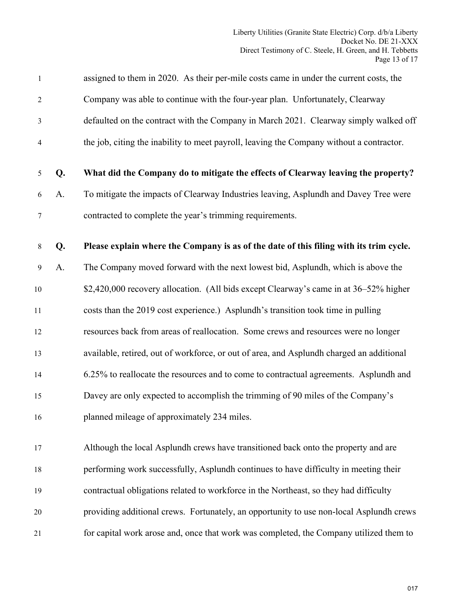| $\mathbf{1}$   |    | assigned to them in 2020. As their per-mile costs came in under the current costs, the   |
|----------------|----|------------------------------------------------------------------------------------------|
| 2              |    | Company was able to continue with the four-year plan. Unfortunately, Clearway            |
| $\mathfrak{Z}$ |    | defaulted on the contract with the Company in March 2021. Clearway simply walked off     |
| $\overline{4}$ |    | the job, citing the inability to meet payroll, leaving the Company without a contractor. |
| 5              | Q. | What did the Company do to mitigate the effects of Clearway leaving the property?        |
| 6              | A. | To mitigate the impacts of Clearway Industries leaving, Asplundh and Davey Tree were     |
| $\tau$         |    | contracted to complete the year's trimming requirements.                                 |
| $8\,$          | Q. | Please explain where the Company is as of the date of this filing with its trim cycle.   |
| 9              | A. | The Company moved forward with the next lowest bid, Asplundh, which is above the         |
| 10             |    | \$2,420,000 recovery allocation. (All bids except Clearway's came in at 36–52% higher    |
| 11             |    | costs than the 2019 cost experience.) Asplundh's transition took time in pulling         |
| 12             |    | resources back from areas of reallocation. Some crews and resources were no longer       |
| 13             |    | available, retired, out of workforce, or out of area, and Asplundh charged an additional |
| 14             |    | 6.25% to reallocate the resources and to come to contractual agreements. Asplundh and    |
| 15             |    | Davey are only expected to accomplish the trimming of 90 miles of the Company's          |
| 16             |    | planned mileage of approximately 234 miles.                                              |
| 17             |    | Although the local Asplundh crews have transitioned back onto the property and are       |
| 18             |    | performing work successfully, Asplundh continues to have difficulty in meeting their     |
| 19             |    | contractual obligations related to workforce in the Northeast, so they had difficulty    |
| 20             |    | providing additional crews. Fortunately, an opportunity to use non-local Asplundh crews  |
| 21             |    | for capital work arose and, once that work was completed, the Company utilized them to   |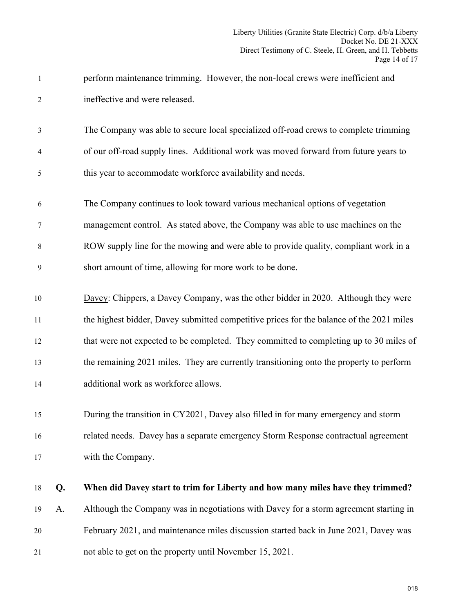| 1              |    | perform maintenance trimming. However, the non-local crews were inefficient and          |
|----------------|----|------------------------------------------------------------------------------------------|
| $\overline{2}$ |    | ineffective and were released.                                                           |
| 3              |    | The Company was able to secure local specialized off-road crews to complete trimming     |
| 4              |    | of our off-road supply lines. Additional work was moved forward from future years to     |
| 5              |    | this year to accommodate workforce availability and needs.                               |
| 6              |    | The Company continues to look toward various mechanical options of vegetation            |
| 7              |    | management control. As stated above, the Company was able to use machines on the         |
| 8              |    | ROW supply line for the mowing and were able to provide quality, compliant work in a     |
| 9              |    | short amount of time, allowing for more work to be done.                                 |
| 10             |    | Davey: Chippers, a Davey Company, was the other bidder in 2020. Although they were       |
| 11             |    | the highest bidder, Davey submitted competitive prices for the balance of the 2021 miles |
| 12             |    | that were not expected to be completed. They committed to completing up to 30 miles of   |
| 13             |    | the remaining 2021 miles. They are currently transitioning onto the property to perform  |
| 14             |    | additional work as workforce allows.                                                     |
| 15             |    | During the transition in CY2021, Davey also filled in for many emergency and storm       |
| 16             |    | related needs. Davey has a separate emergency Storm Response contractual agreement       |
| 17             |    | with the Company.                                                                        |
| 18             | Q. | When did Davey start to trim for Liberty and how many miles have they trimmed?           |
| 19             | A. | Although the Company was in negotiations with Davey for a storm agreement starting in    |
| 20             |    | February 2021, and maintenance miles discussion started back in June 2021, Davey was     |
| 21             |    | not able to get on the property until November 15, 2021.                                 |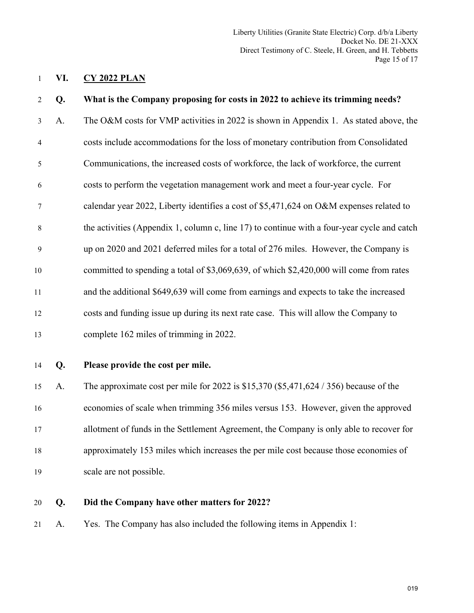Liberty Utilities (Granite State Electric) Corp. d/b/a Liberty Docket No. DE 21-XXX Direct Testimony of C. Steele, H. Green, and H. Tebbetts Page 15 of 17

## 1 **VI. CY 2022 PLAN**

#### 2 **Q. What is the Company proposing for costs in 2022 to achieve its trimming needs?**

3 A. The O&M costs for VMP activities in 2022 is shown in Appendix 1. As stated above, the 4 costs include accommodations for the loss of monetary contribution from Consolidated 5 Communications, the increased costs of workforce, the lack of workforce, the current 6 costs to perform the vegetation management work and meet a four-year cycle. For 7 calendar year 2022, Liberty identifies a cost of \$5,471,624 on O&M expenses related to 8 the activities (Appendix 1, column c, line 17) to continue with a four-year cycle and catch 9 up on 2020 and 2021 deferred miles for a total of 276 miles. However, the Company is 10 committed to spending a total of \$3,069,639, of which \$2,420,000 will come from rates 11 and the additional \$649,639 will come from earnings and expects to take the increased 12 costs and funding issue up during its next rate case. This will allow the Company to 13 complete 162 miles of trimming in 2022.

#### 14 **Q. Please provide the cost per mile.**

15 A. The approximate cost per mile for 2022 is \$15,370 (\$5,471,624 / 356) because of the 16 economies of scale when trimming 356 miles versus 153. However, given the approved 17 allotment of funds in the Settlement Agreement, the Company is only able to recover for 18 approximately 153 miles which increases the per mile cost because those economies of 19 scale are not possible.

#### 20 **Q. Did the Company have other matters for 2022?**

21 A. Yes. The Company has also included the following items in Appendix 1: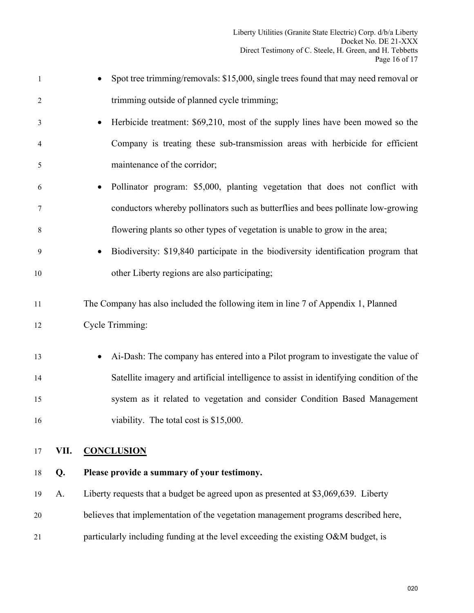Liberty Utilities (Granite State Electric) Corp. d/b/a Liberty Docket No. DE 21-XXX Direct Testimony of C. Steele, H. Green, and H. Tebbetts Page 16 of 17

| 1              |      | Spot tree trimming/removals: \$15,000, single trees found that may need removal or              |
|----------------|------|-------------------------------------------------------------------------------------------------|
| $\overline{2}$ |      | trimming outside of planned cycle trimming;                                                     |
| 3              |      | Herbicide treatment: \$69,210, most of the supply lines have been mowed so the                  |
| 4              |      | Company is treating these sub-transmission areas with herbicide for efficient                   |
| 5              |      | maintenance of the corridor;                                                                    |
| 6              |      | Pollinator program: \$5,000, planting vegetation that does not conflict with                    |
| 7              |      | conductors whereby pollinators such as butterflies and bees pollinate low-growing               |
| 8              |      | flowering plants so other types of vegetation is unable to grow in the area;                    |
| 9              |      | Biodiversity: \$19,840 participate in the biodiversity identification program that<br>$\bullet$ |
| 10             |      | other Liberty regions are also participating;                                                   |
| 11             |      | The Company has also included the following item in line 7 of Appendix 1, Planned               |
| 12             |      | <b>Cycle Trimming:</b>                                                                          |
| 13             |      | Ai-Dash: The company has entered into a Pilot program to investigate the value of               |
| 14             |      | Satellite imagery and artificial intelligence to assist in identifying condition of the         |
| 15             |      | system as it related to vegetation and consider Condition Based Management                      |
| 16             |      | viability. The total cost is \$15,000.                                                          |
| 17             | VII. | <b>CONCLUSION</b>                                                                               |
| 18             | Q.   | Please provide a summary of your testimony.                                                     |
| 19             | A.   | Liberty requests that a budget be agreed upon as presented at \$3,069,639. Liberty              |
| 20             |      | believes that implementation of the vegetation management programs described here,              |
| 21             |      | particularly including funding at the level exceeding the existing O&M budget, is               |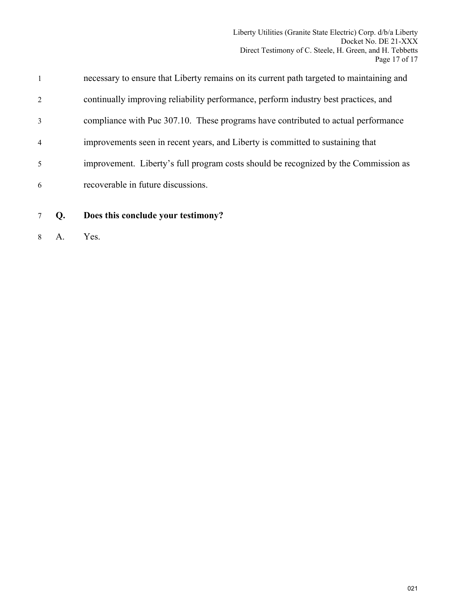Liberty Utilities (Granite State Electric) Corp. d/b/a Liberty Docket No. DE 21-XXX Direct Testimony of C. Steele, H. Green, and H. Tebbetts Page 17 of 17

| $\overline{1}$ | necessary to ensure that Liberty remains on its current path targeted to maintaining and |
|----------------|------------------------------------------------------------------------------------------|
| 2              | continually improving reliability performance, perform industry best practices, and      |
| 3              | compliance with Puc 307.10. These programs have contributed to actual performance        |
| $\overline{4}$ | improvements seen in recent years, and Liberty is committed to sustaining that           |
| 5              | improvement. Liberty's full program costs should be recognized by the Commission as      |
| 6              | recoverable in future discussions.                                                       |
|                |                                                                                          |

- 7 **Q. Does this conclude your testimony?**
- 8 A. Yes.